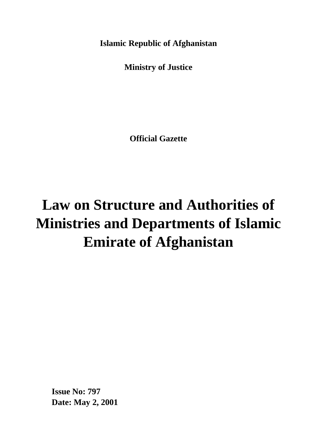**Islamic Republic of Afghanistan**

**Ministry of Justice**

**Official Gazette**

# **Law on Structure and Authorities of Ministries and Departments of Islamic Emirate of Afghanistan**

**Issue No: 797 Date: May 2, 2001**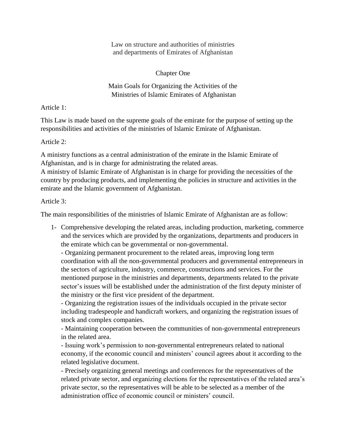Law on structure and authorities of ministries and departments of Emirates of Afghanistan

Chapter One

Main Goals for Organizing the Activities of the Ministries of Islamic Emirates of Afghanistan

Article 1:

This Law is made based on the supreme goals of the emirate for the purpose of setting up the responsibilities and activities of the ministries of Islamic Emirate of Afghanistan.

Article 2:

A ministry functions as a central administration of the emirate in the Islamic Emirate of Afghanistan, and is in charge for administrating the related areas.

A ministry of Islamic Emirate of Afghanistan is in charge for providing the necessities of the country by producing products, and implementing the policies in structure and activities in the emirate and the Islamic government of Afghanistan.

Article 3:

The main responsibilities of the ministries of Islamic Emirate of Afghanistan are as follow:

1- Comprehensive developing the related areas, including production, marketing, commerce and the services which are provided by the organizations, departments and producers in the emirate which can be governmental or non-governmental.

- Organizing permanent procurement to the related areas, improving long term coordination with all the non-governmental producers and governmental entrepreneurs in the sectors of agriculture, industry, commerce, constructions and services. For the mentioned purpose in the ministries and departments, departments related to the private sector's issues will be established under the administration of the first deputy minister of the ministry or the first vice president of the department.

- Organizing the registration issues of the individuals occupied in the private sector including tradespeople and handicraft workers, and organizing the registration issues of stock and complex companies.

- Maintaining cooperation between the communities of non-governmental entrepreneurs in the related area.

- Issuing work's permission to non-governmental entrepreneurs related to national economy, if the economic council and ministers' council agrees about it according to the related legislative document.

- Precisely organizing general meetings and conferences for the representatives of the related private sector, and organizing elections for the representatives of the related area's private sector, so the representatives will be able to be selected as a member of the administration office of economic council or ministers' council.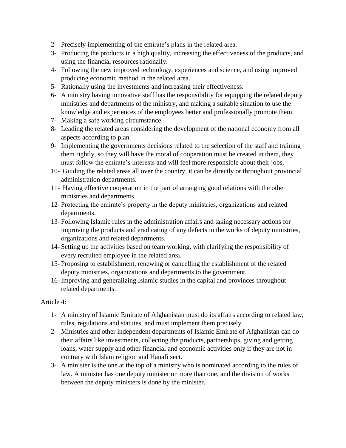- 2- Precisely implementing of the emirate's plans in the related area.
- 3- Producing the products in a high quality, increasing the effectiveness of the products, and using the financial resources rationally.
- 4- Following the new improved technology, experiences and science, and using improved producing economic method in the related area.
- 5- Rationally using the investments and increasing their effectiveness.
- 6- A ministry having innovative staff has the responsibility for equipping the related deputy ministries and departments of the ministry, and making a suitable situation to use the knowledge and experiences of the employees better and professionally promote them.
- 7- Making a safe working circumstance.
- 8- Leading the related areas considering the development of the national economy from all aspects according to plan.
- 9- Implementing the governments decisions related to the selection of the staff and training them rightly, so they will have the moral of cooperation must be created in them, they must follow the emirate's interests and will feel more responsible about their jobs.
- 10- Guiding the related areas all over the country, it can be directly or throughout provincial administration departments.
- 11- Having effective cooperation in the part of arranging good relations with the other ministries and departments.
- 12- Protecting the emirate's property in the deputy ministries, organizations and related departments.
- 13- Following Islamic rules in the administration affairs and taking necessary actions for improving the products and eradicating of any defects in the works of deputy ministries, organizations and related departments.
- 14- Setting up the activities based on team working, with clarifying the responsibility of every recruited employee in the related area.
- 15- Proposing to establishment, renewing or cancelling the establishment of the related deputy ministries, organizations and departments to the government.
- 16- Improving and generalizing Islamic studies in the capital and provinces throughout related departments.

#### Article 4:

- 1- A ministry of Islamic Emirate of Afghanistan must do its affairs according to related law, rules, regulations and statutes, and must implement them precisely.
- 2- Ministries and other independent departments of Islamic Emirate of Afghanistan can do their affairs like investments, collecting the products, partnerships, giving and getting loans, water supply and other financial and economic activities only if they are not in contrary with Islam religion and Hanafi sect.
- 3- A minister is the one at the top of a ministry who is nominated according to the rules of law. A minister has one deputy minister or more than one, and the division of works between the deputy ministers is done by the minister.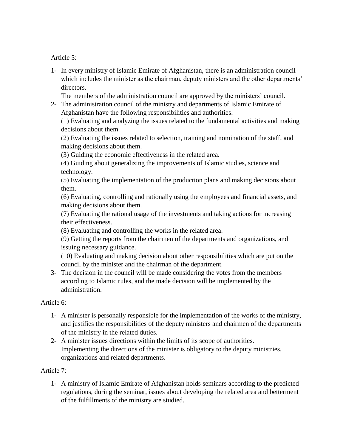Article 5:

1- In every ministry of Islamic Emirate of Afghanistan, there is an administration council which includes the minister as the chairman, deputy ministers and the other departments' directors.

The members of the administration council are approved by the ministers' council.

2- The administration council of the ministry and departments of Islamic Emirate of Afghanistan have the following responsibilities and authorities:

(1) Evaluating and analyzing the issues related to the fundamental activities and making decisions about them.

(2) Evaluating the issues related to selection, training and nomination of the staff, and making decisions about them.

(3) Guiding the economic effectiveness in the related area.

(4) Guiding about generalizing the improvements of Islamic studies, science and technology.

(5) Evaluating the implementation of the production plans and making decisions about them.

(6) Evaluating, controlling and rationally using the employees and financial assets, and making decisions about them.

(7) Evaluating the rational usage of the investments and taking actions for increasing their effectiveness.

(8) Evaluating and controlling the works in the related area.

(9) Getting the reports from the chairmen of the departments and organizations, and issuing necessary guidance.

(10) Evaluating and making decision about other responsibilities which are put on the council by the minister and the chairman of the department.

3- The decision in the council will be made considering the votes from the members according to Islamic rules, and the made decision will be implemented by the administration.

Article 6:

- 1- A minister is personally responsible for the implementation of the works of the ministry, and justifies the responsibilities of the deputy ministers and chairmen of the departments of the ministry in the related duties.
- 2- A minister issues directions within the limits of its scope of authorities. Implementing the directions of the minister is obligatory to the deputy ministries, organizations and related departments.

## Article 7:

1- A ministry of Islamic Emirate of Afghanistan holds seminars according to the predicted regulations, during the seminar, issues about developing the related area and betterment of the fulfillments of the ministry are studied.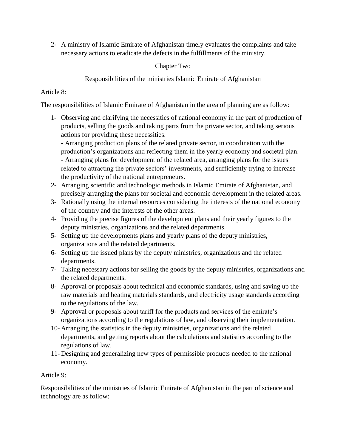2- A ministry of Islamic Emirate of Afghanistan timely evaluates the complaints and take necessary actions to eradicate the defects in the fulfillments of the ministry.

## Chapter Two

Responsibilities of the ministries Islamic Emirate of Afghanistan

## Article 8:

The responsibilities of Islamic Emirate of Afghanistan in the area of planning are as follow:

1- Observing and clarifying the necessities of national economy in the part of production of products, selling the goods and taking parts from the private sector, and taking serious actions for providing these necessities.

- Arranging production plans of the related private sector, in coordination with the production's organizations and reflecting them in the yearly economy and societal plan. - Arranging plans for development of the related area, arranging plans for the issues related to attracting the private sectors' investments, and sufficiently trying to increase the productivity of the national entrepreneurs.

- 2- Arranging scientific and technologic methods in Islamic Emirate of Afghanistan, and precisely arranging the plans for societal and economic development in the related areas.
- 3- Rationally using the internal resources considering the interests of the national economy of the country and the interests of the other areas.
- 4- Providing the precise figures of the development plans and their yearly figures to the deputy ministries, organizations and the related departments.
- 5- Setting up the developments plans and yearly plans of the deputy ministries, organizations and the related departments.
- 6- Setting up the issued plans by the deputy ministries, organizations and the related departments.
- 7- Taking necessary actions for selling the goods by the deputy ministries, organizations and the related departments.
- 8- Approval or proposals about technical and economic standards, using and saving up the raw materials and heating materials standards, and electricity usage standards according to the regulations of the law.
- 9- Approval or proposals about tariff for the products and services of the emirate's organizations according to the regulations of law, and observing their implementation.
- 10- Arranging the statistics in the deputy ministries, organizations and the related departments, and getting reports about the calculations and statistics according to the regulations of law.
- 11- Designing and generalizing new types of permissible products needed to the national economy.

## Article 9:

Responsibilities of the ministries of Islamic Emirate of Afghanistan in the part of science and technology are as follow: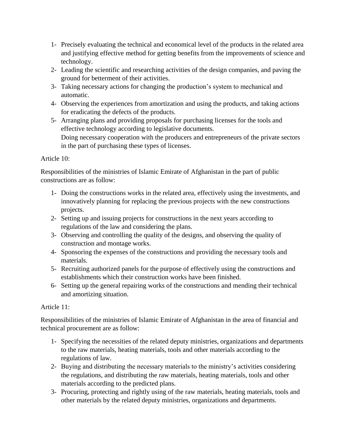- 1- Precisely evaluating the technical and economical level of the products in the related area and justifying effective method for getting benefits from the improvements of science and technology.
- 2- Leading the scientific and researching activities of the design companies, and paving the ground for betterment of their activities.
- 3- Taking necessary actions for changing the production's system to mechanical and automatic.
- 4- Observing the experiences from amortization and using the products, and taking actions for eradicating the defects of the products.
- 5- Arranging plans and providing proposals for purchasing licenses for the tools and effective technology according to legislative documents. Doing necessary cooperation with the producers and entrepreneurs of the private sectors in the part of purchasing these types of licenses.

## Article 10:

Responsibilities of the ministries of Islamic Emirate of Afghanistan in the part of public constructions are as follow:

- 1- Doing the constructions works in the related area, effectively using the investments, and innovatively planning for replacing the previous projects with the new constructions projects.
- 2- Setting up and issuing projects for constructions in the next years according to regulations of the law and considering the plans.
- 3- Observing and controlling the quality of the designs, and observing the quality of construction and montage works.
- 4- Sponsoring the expenses of the constructions and providing the necessary tools and materials.
- 5- Recruiting authorized panels for the purpose of effectively using the constructions and establishments which their construction works have been finished.
- 6- Setting up the general repairing works of the constructions and mending their technical and amortizing situation.

# Article 11:

Responsibilities of the ministries of Islamic Emirate of Afghanistan in the area of financial and technical procurement are as follow:

- 1- Specifying the necessities of the related deputy ministries, organizations and departments to the raw materials, heating materials, tools and other materials according to the regulations of law.
- 2- Buying and distributing the necessary materials to the ministry's activities considering the regulations, and distributing the raw materials, heating materials, tools and other materials according to the predicted plans.
- 3- Procuring, protecting and rightly using of the raw materials, heating materials, tools and other materials by the related deputy ministries, organizations and departments.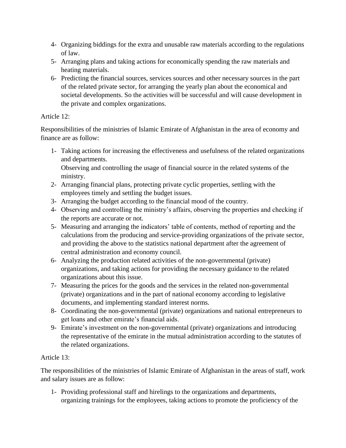- 4- Organizing biddings for the extra and unusable raw materials according to the regulations of law.
- 5- Arranging plans and taking actions for economically spending the raw materials and heating materials.
- 6- Predicting the financial sources, services sources and other necessary sources in the part of the related private sector, for arranging the yearly plan about the economical and societal developments. So the activities will be successful and will cause development in the private and complex organizations.

## Article 12:

Responsibilities of the ministries of Islamic Emirate of Afghanistan in the area of economy and finance are as follow:

1- Taking actions for increasing the effectiveness and usefulness of the related organizations and departments.

Observing and controlling the usage of financial source in the related systems of the ministry.

- 2- Arranging financial plans, protecting private cyclic properties, settling with the employees timely and settling the budget issues.
- 3- Arranging the budget according to the financial mood of the country.
- 4- Observing and controlling the ministry's affairs, observing the properties and checking if the reports are accurate or not.
- 5- Measuring and arranging the indicators' table of contents, method of reporting and the calculations from the producing and service-providing organizations of the private sector, and providing the above to the statistics national department after the agreement of central administration and economy council.
- 6- Analyzing the production related activities of the non-governmental (private) organizations, and taking actions for providing the necessary guidance to the related organizations about this issue.
- 7- Measuring the prices for the goods and the services in the related non-governmental (private) organizations and in the part of national economy according to legislative documents, and implementing standard interest norms.
- 8- Coordinating the non-governmental (private) organizations and national entrepreneurs to get loans and other emirate's financial aids.
- 9- Emirate's investment on the non-governmental (private) organizations and introducing the representative of the emirate in the mutual administration according to the statutes of the related organizations.

# Article 13:

The responsibilities of the ministries of Islamic Emirate of Afghanistan in the areas of staff, work and salary issues are as follow:

1- Providing professional staff and hirelings to the organizations and departments, organizing trainings for the employees, taking actions to promote the proficiency of the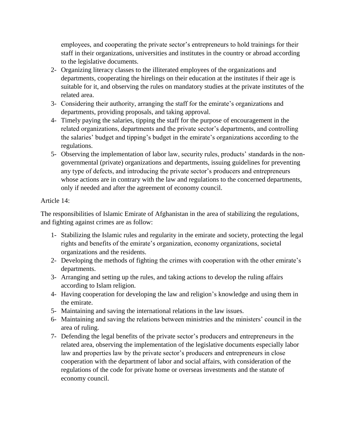employees, and cooperating the private sector's entrepreneurs to hold trainings for their staff in their organizations, universities and institutes in the country or abroad according to the legislative documents.

- 2- Organizing literacy classes to the illiterated employees of the organizations and departments, cooperating the hirelings on their education at the institutes if their age is suitable for it, and observing the rules on mandatory studies at the private institutes of the related area.
- 3- Considering their authority, arranging the staff for the emirate's organizations and departments, providing proposals, and taking approval.
- 4- Timely paying the salaries, tipping the staff for the purpose of encouragement in the related organizations, departments and the private sector's departments, and controlling the salaries' budget and tipping's budget in the emirate's organizations according to the regulations.
- 5- Observing the implementation of labor law, security rules, products' standards in the nongovernmental (private) organizations and departments, issuing guidelines for preventing any type of defects, and introducing the private sector's producers and entrepreneurs whose actions are in contrary with the law and regulations to the concerned departments, only if needed and after the agreement of economy council.

## Article 14:

The responsibilities of Islamic Emirate of Afghanistan in the area of stabilizing the regulations, and fighting against crimes are as follow:

- 1- Stabilizing the Islamic rules and regularity in the emirate and society, protecting the legal rights and benefits of the emirate's organization, economy organizations, societal organizations and the residents.
- 2- Developing the methods of fighting the crimes with cooperation with the other emirate's departments.
- 3- Arranging and setting up the rules, and taking actions to develop the ruling affairs according to Islam religion.
- 4- Having cooperation for developing the law and religion's knowledge and using them in the emirate.
- 5- Maintaining and saving the international relations in the law issues.
- 6- Maintaining and saving the relations between ministries and the ministers' council in the area of ruling.
- 7- Defending the legal benefits of the private sector's producers and entrepreneurs in the related area, observing the implementation of the legislative documents especially labor law and properties law by the private sector's producers and entrepreneurs in close cooperation with the department of labor and social affairs, with consideration of the regulations of the code for private home or overseas investments and the statute of economy council.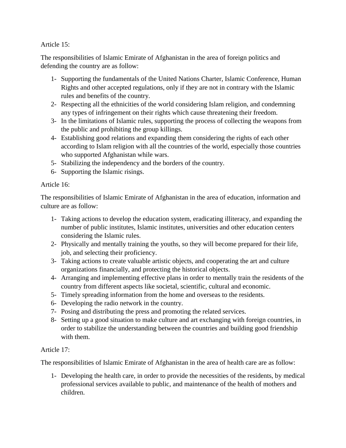#### Article 15:

The responsibilities of Islamic Emirate of Afghanistan in the area of foreign politics and defending the country are as follow:

- 1- Supporting the fundamentals of the United Nations Charter, Islamic Conference, Human Rights and other accepted regulations, only if they are not in contrary with the Islamic rules and benefits of the country.
- 2- Respecting all the ethnicities of the world considering Islam religion, and condemning any types of infringement on their rights which cause threatening their freedom.
- 3- In the limitations of Islamic rules, supporting the process of collecting the weapons from the public and prohibiting the group killings.
- 4- Establishing good relations and expanding them considering the rights of each other according to Islam religion with all the countries of the world, especially those countries who supported Afghanistan while wars.
- 5- Stabilizing the independency and the borders of the country.
- 6- Supporting the Islamic risings.

#### Article 16:

The responsibilities of Islamic Emirate of Afghanistan in the area of education, information and culture are as follow:

- 1- Taking actions to develop the education system, eradicating illiteracy, and expanding the number of public institutes, Islamic institutes, universities and other education centers considering the Islamic rules.
- 2- Physically and mentally training the youths, so they will become prepared for their life, job, and selecting their proficiency.
- 3- Taking actions to create valuable artistic objects, and cooperating the art and culture organizations financially, and protecting the historical objects.
- 4- Arranging and implementing effective plans in order to mentally train the residents of the country from different aspects like societal, scientific, cultural and economic.
- 5- Timely spreading information from the home and overseas to the residents.
- 6- Developing the radio network in the country.
- 7- Posing and distributing the press and promoting the related services.
- 8- Setting up a good situation to make culture and art exchanging with foreign countries, in order to stabilize the understanding between the countries and building good friendship with them.

## Article 17:

The responsibilities of Islamic Emirate of Afghanistan in the area of health care are as follow:

1- Developing the health care, in order to provide the necessities of the residents, by medical professional services available to public, and maintenance of the health of mothers and children.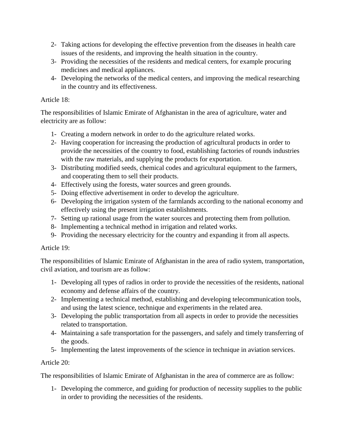- 2- Taking actions for developing the effective prevention from the diseases in health care issues of the residents, and improving the health situation in the country.
- 3- Providing the necessities of the residents and medical centers, for example procuring medicines and medical appliances.
- 4- Developing the networks of the medical centers, and improving the medical researching in the country and its effectiveness.

## Article 18:

The responsibilities of Islamic Emirate of Afghanistan in the area of agriculture, water and electricity are as follow:

- 1- Creating a modern network in order to do the agriculture related works.
- 2- Having cooperation for increasing the production of agricultural products in order to provide the necessities of the country to food, establishing factories of rounds industries with the raw materials, and supplying the products for exportation.
- 3- Distributing modified seeds, chemical codes and agricultural equipment to the farmers, and cooperating them to sell their products.
- 4- Effectively using the forests, water sources and green grounds.
- 5- Doing effective advertisement in order to develop the agriculture.
- 6- Developing the irrigation system of the farmlands according to the national economy and effectively using the present irrigation establishments.
- 7- Setting up rational usage from the water sources and protecting them from pollution.
- 8- Implementing a technical method in irrigation and related works.
- 9- Providing the necessary electricity for the country and expanding it from all aspects.

## Article 19:

The responsibilities of Islamic Emirate of Afghanistan in the area of radio system, transportation, civil aviation, and tourism are as follow:

- 1- Developing all types of radios in order to provide the necessities of the residents, national economy and defense affairs of the country.
- 2- Implementing a technical method, establishing and developing telecommunication tools, and using the latest science, technique and experiments in the related area.
- 3- Developing the public transportation from all aspects in order to provide the necessities related to transportation.
- 4- Maintaining a safe transportation for the passengers, and safely and timely transferring of the goods.
- 5- Implementing the latest improvements of the science in technique in aviation services.

# Article 20:

The responsibilities of Islamic Emirate of Afghanistan in the area of commerce are as follow:

1- Developing the commerce, and guiding for production of necessity supplies to the public in order to providing the necessities of the residents.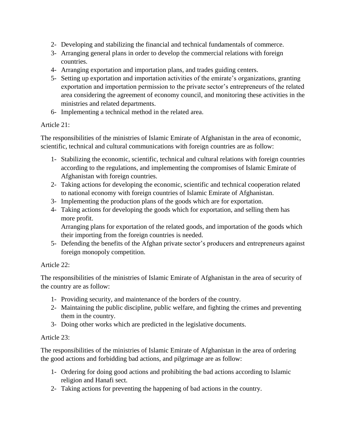- 2- Developing and stabilizing the financial and technical fundamentals of commerce.
- 3- Arranging general plans in order to develop the commercial relations with foreign countries.
- 4- Arranging exportation and importation plans, and trades guiding centers.
- 5- Setting up exportation and importation activities of the emirate's organizations, granting exportation and importation permission to the private sector's entrepreneurs of the related area considering the agreement of economy council, and monitoring these activities in the ministries and related departments.
- 6- Implementing a technical method in the related area.

#### Article 21:

The responsibilities of the ministries of Islamic Emirate of Afghanistan in the area of economic, scientific, technical and cultural communications with foreign countries are as follow:

- 1- Stabilizing the economic, scientific, technical and cultural relations with foreign countries according to the regulations, and implementing the compromises of Islamic Emirate of Afghanistan with foreign countries.
- 2- Taking actions for developing the economic, scientific and technical cooperation related to national economy with foreign countries of Islamic Emirate of Afghanistan.
- 3- Implementing the production plans of the goods which are for exportation.
- 4- Taking actions for developing the goods which for exportation, and selling them has more profit.

Arranging plans for exportation of the related goods, and importation of the goods which their importing from the foreign countries is needed.

5- Defending the benefits of the Afghan private sector's producers and entrepreneurs against foreign monopoly competition.

## Article 22:

The responsibilities of the ministries of Islamic Emirate of Afghanistan in the area of security of the country are as follow:

- 1- Providing security, and maintenance of the borders of the country.
- 2- Maintaining the public discipline, public welfare, and fighting the crimes and preventing them in the country.
- 3- Doing other works which are predicted in the legislative documents.

#### Article 23:

The responsibilities of the ministries of Islamic Emirate of Afghanistan in the area of ordering the good actions and forbidding bad actions, and pilgrimage are as follow:

- 1- Ordering for doing good actions and prohibiting the bad actions according to Islamic religion and Hanafi sect.
- 2- Taking actions for preventing the happening of bad actions in the country.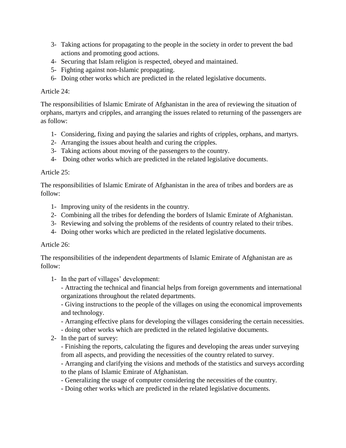- 3- Taking actions for propagating to the people in the society in order to prevent the bad actions and promoting good actions.
- 4- Securing that Islam religion is respected, obeyed and maintained.
- 5- Fighting against non-Islamic propagating.
- 6- Doing other works which are predicted in the related legislative documents.

## Article 24:

The responsibilities of Islamic Emirate of Afghanistan in the area of reviewing the situation of orphans, martyrs and cripples, and arranging the issues related to returning of the passengers are as follow:

- 1- Considering, fixing and paying the salaries and rights of cripples, orphans, and martyrs.
- 2- Arranging the issues about health and curing the cripples.
- 3- Taking actions about moving of the passengers to the country.
- 4- Doing other works which are predicted in the related legislative documents.

## Article 25:

The responsibilities of Islamic Emirate of Afghanistan in the area of tribes and borders are as follow:

- 1- Improving unity of the residents in the country.
- 2- Combining all the tribes for defending the borders of Islamic Emirate of Afghanistan.
- 3- Reviewing and solving the problems of the residents of country related to their tribes.
- 4- Doing other works which are predicted in the related legislative documents.

#### Article 26:

The responsibilities of the independent departments of Islamic Emirate of Afghanistan are as follow:

1- In the part of villages' development:

- Attracting the technical and financial helps from foreign governments and international organizations throughout the related departments.

- Giving instructions to the people of the villages on using the economical improvements and technology.

- Arranging effective plans for developing the villages considering the certain necessities.
- doing other works which are predicted in the related legislative documents.
- 2- In the part of survey:

- Finishing the reports, calculating the figures and developing the areas under surveying from all aspects, and providing the necessities of the country related to survey.

- Arranging and clarifying the visions and methods of the statistics and surveys according to the plans of Islamic Emirate of Afghanistan.

- Generalizing the usage of computer considering the necessities of the country.
- Doing other works which are predicted in the related legislative documents.